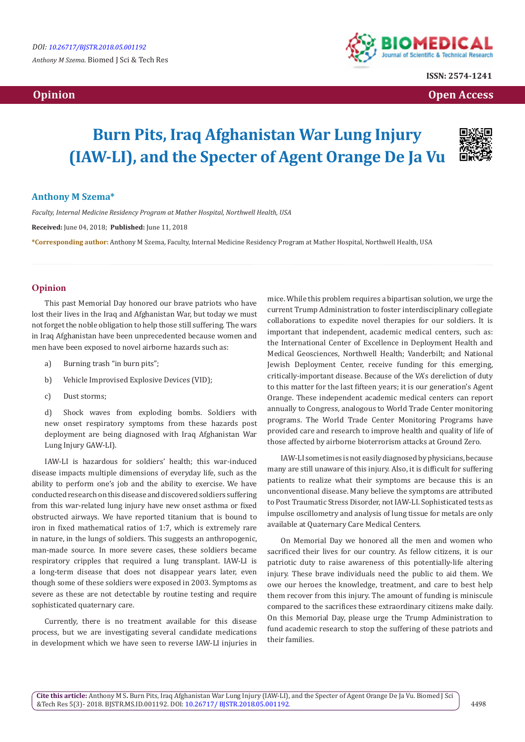

**ISSN: 2574-1241**

 **Opinion Open Access Open Access**  *Open Access* **<b>** *Open Access* 

# **Burn Pits, Iraq Afghanistan War Lung Injury (IAW-LI), and the Specter of Agent Orange De Ja Vu**



# **Anthony M Szema\***

*Faculty, Internal Medicine Residency Program at Mather Hospital, Northwell Health, USA*

**Received:** June 04, 2018; **Published:** June 11, 2018

**\*Corresponding author:** Anthony M Szema, Faculty, Internal Medicine Residency Program at Mather Hospital, Northwell Health, USA

### **Opinion**

This past Memorial Day honored our brave patriots who have lost their lives in the Iraq and Afghanistan War, but today we must not forget the noble obligation to help those still suffering. The wars in Iraq Afghanistan have been unprecedented because women and men have been exposed to novel airborne hazards such as:

- a) Burning trash "in burn pits";
- b) Vehicle Improvised Explosive Devices (VID);
- c) Dust storms;

d) Shock waves from exploding bombs. Soldiers with new onset respiratory symptoms from these hazards post deployment are being diagnosed with Iraq Afghanistan War Lung Injury GAW-LI).

IAW-LI is hazardous for soldiers' health; this war-induced disease impacts multiple dimensions of everyday life, such as the ability to perform one's job and the ability to exercise. We have conducted research on this disease and discovered soldiers suffering from this war-related lung injury have new onset asthma or fixed obstructed airways. We have reported titanium that is bound to iron in fixed mathematical ratios of 1:7, which is extremely rare in nature, in the lungs of soldiers. This suggests an anthropogenic, man-made source. In more severe cases, these soldiers became respiratory cripples that required a lung transplant. IAW-LI is a long-term disease that does not disappear years later, even though some of these soldiers were exposed in 2003. Symptoms as severe as these are not detectable by routine testing and require sophisticated quaternary care.

Currently, there is no treatment available for this disease process, but we are investigating several candidate medications in development which we have seen to reverse IAW-LI injuries in

mice. While this problem requires a bipartisan solution, we urge the current Trump Administration to foster interdisciplinary collegiate collaborations to expedite novel therapies for our soldiers. It is important that independent, academic medical centers, such as: the International Center of Excellence in Deployment Health and Medical Geosciences, Northwell Health; Vanderbilt; and National Jewish Deployment Center, receive funding for this emerging, critically-important disease. Because of the VA's dereliction of duty to this matter for the last fifteen years; it is our generation's Agent Orange. These independent academic medical centers can report annually to Congress, analogous to World Trade Center monitoring programs. The World Trade Center Monitoring Programs have provided care and research to improve health and quality of life of those affected by airborne bioterrorism attacks at Ground Zero.

IAW-LI sometimes is not easily diagnosed by physicians, because many are still unaware of this injury. Also, it is difficult for suffering patients to realize what their symptoms are because this is an unconventional disease. Many believe the symptoms are attributed to Post Traumatic Stress Disorder, not IAW-LI. Sophisticated tests as impulse oscillometry and analysis of lung tissue for metals are only available at Quaternary Care Medical Centers.

On Memorial Day we honored all the men and women who sacrificed their lives for our country. As fellow citizens, it is our patriotic duty to raise awareness of this potentially-life altering injury. These brave individuals need the public to aid them. We owe our heroes the knowledge, treatment, and care to best help them recover from this injury. The amount of funding is miniscule compared to the sacrifices these extraordinary citizens make daily. On this Memorial Day, please urge the Trump Administration to fund academic research to stop the suffering of these patriots and their families.